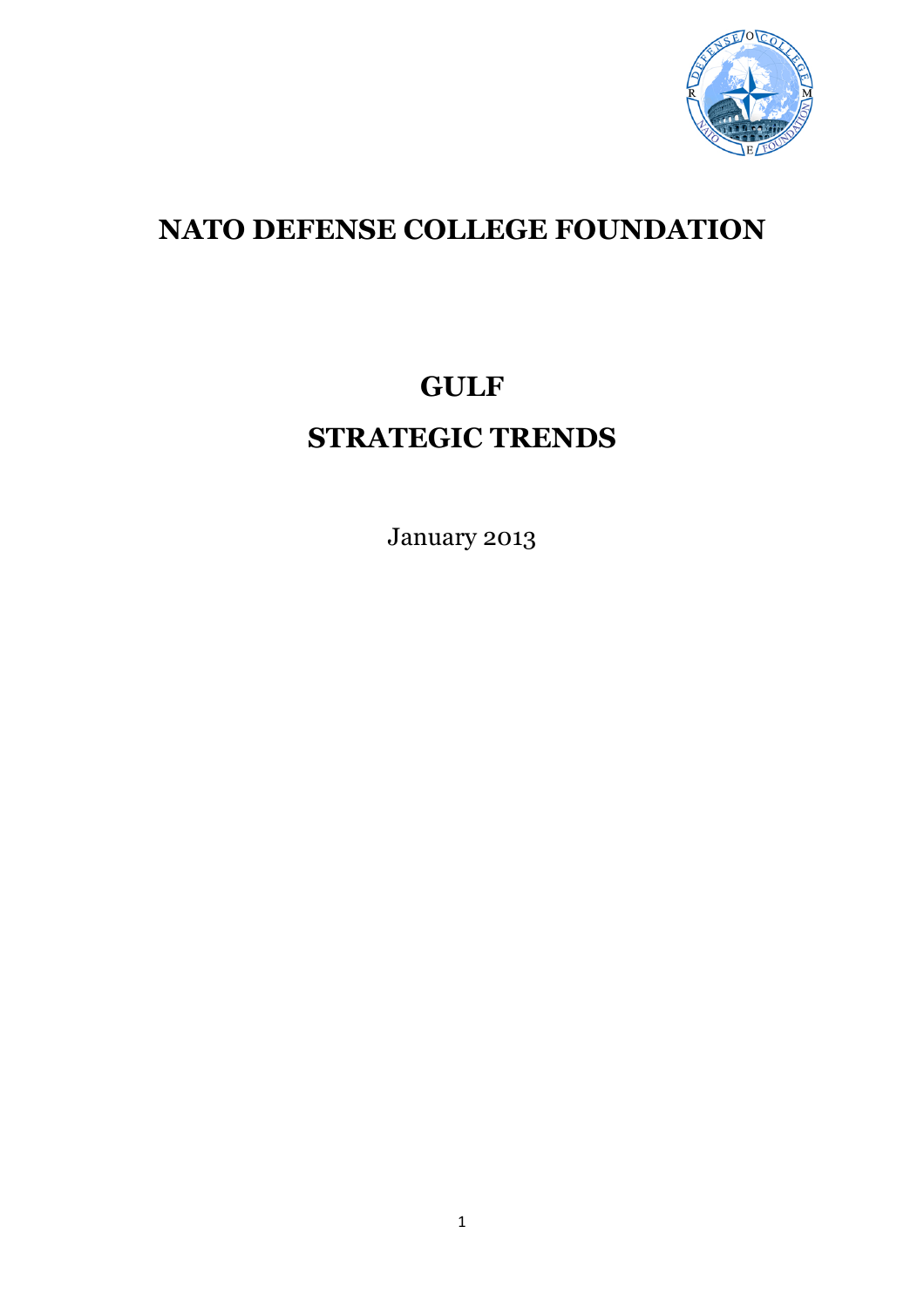

# **NATO DEFENSE COLLEGE FOUNDATION**

# **GULF STRATEGIC TRENDS**

January 2013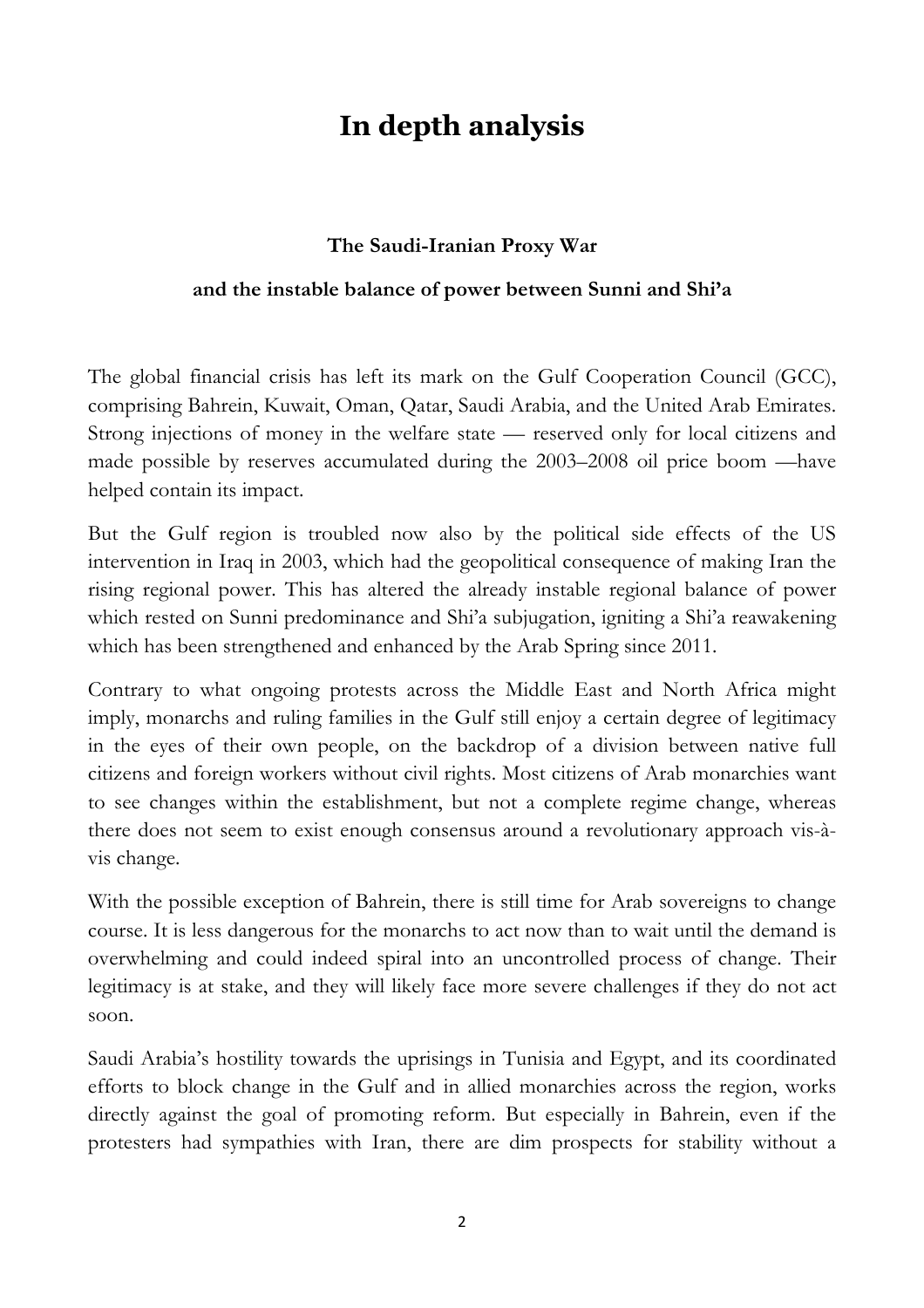# **In depth analysis**

# **The Saudi-Iranian Proxy War**

## **and the instable balance of power between Sunni and Shi'a**

The global financial crisis has left its mark on the Gulf Cooperation Council (GCC), comprising Bahrein, Kuwait, Oman, Qatar, Saudi Arabia, and the United Arab Emirates. Strong injections of money in the welfare state — reserved only for local citizens and made possible by reserves accumulated during the 2003–2008 oil price boom —have helped contain its impact.

But the Gulf region is troubled now also by the political side effects of the US intervention in Iraq in 2003, which had the geopolitical consequence of making Iran the rising regional power. This has altered the already instable regional balance of power which rested on Sunni predominance and Shi'a subjugation, igniting a Shi'a reawakening which has been strengthened and enhanced by the Arab Spring since 2011.

Contrary to what ongoing protests across the Middle East and North Africa might imply, monarchs and ruling families in the Gulf still enjoy a certain degree of legitimacy in the eyes of their own people, on the backdrop of a division between native full citizens and foreign workers without civil rights. Most citizens of Arab monarchies want to see changes within the establishment, but not a complete regime change, whereas there does not seem to exist enough consensus around a revolutionary approach vis-àvis change.

With the possible exception of Bahrein, there is still time for Arab sovereigns to change course. It is less dangerous for the monarchs to act now than to wait until the demand is overwhelming and could indeed spiral into an uncontrolled process of change. Their legitimacy is at stake, and they will likely face more severe challenges if they do not act soon.

Saudi Arabia's hostility towards the uprisings in Tunisia and Egypt, and its coordinated efforts to block change in the Gulf and in allied monarchies across the region, works directly against the goal of promoting reform. But especially in Bahrein, even if the protesters had sympathies with Iran, there are dim prospects for stability without a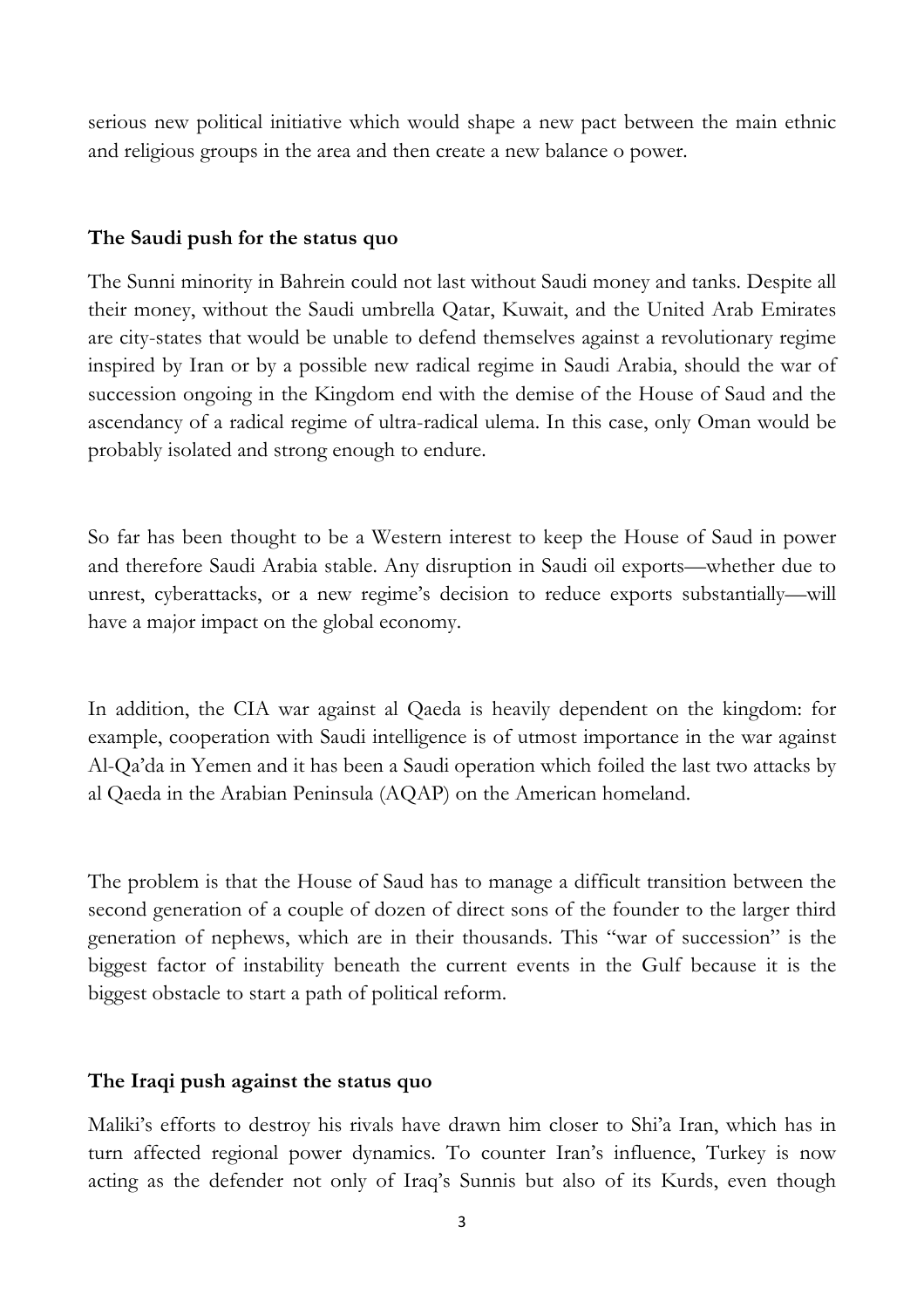serious new political initiative which would shape a new pact between the main ethnic and religious groups in the area and then create a new balance o power.

## **The Saudi push for the status quo**

The Sunni minority in Bahrein could not last without Saudi money and tanks. Despite all their money, without the Saudi umbrella Qatar, Kuwait, and the United Arab Emirates are city-states that would be unable to defend themselves against a revolutionary regime inspired by Iran or by a possible new radical regime in Saudi Arabia, should the war of succession ongoing in the Kingdom end with the demise of the House of Saud and the ascendancy of a radical regime of ultra-radical ulema. In this case, only Oman would be probably isolated and strong enough to endure.

So far has been thought to be a Western interest to keep the House of Saud in power and therefore Saudi Arabia stable. Any disruption in Saudi oil exports—whether due to unrest, cyberattacks, or a new regime's decision to reduce exports substantially—will have a major impact on the global economy.

In addition, the CIA war against al Qaeda is heavily dependent on the kingdom: for example, cooperation with Saudi intelligence is of utmost importance in the war against Al-Qa'da in Yemen and it has been a Saudi operation which foiled the last two attacks by al Qaeda in the Arabian Peninsula (AQAP) on the American homeland.

The problem is that the House of Saud has to manage a difficult transition between the second generation of a couple of dozen of direct sons of the founder to the larger third generation of nephews, which are in their thousands. This "war of succession" is the biggest factor of instability beneath the current events in the Gulf because it is the biggest obstacle to start a path of political reform.

## **The Iraqi push against the status quo**

Maliki's efforts to destroy his rivals have drawn him closer to Shi'a Iran, which has in turn affected regional power dynamics. To counter Iran's influence, Turkey is now acting as the defender not only of Iraq's Sunnis but also of its Kurds, even though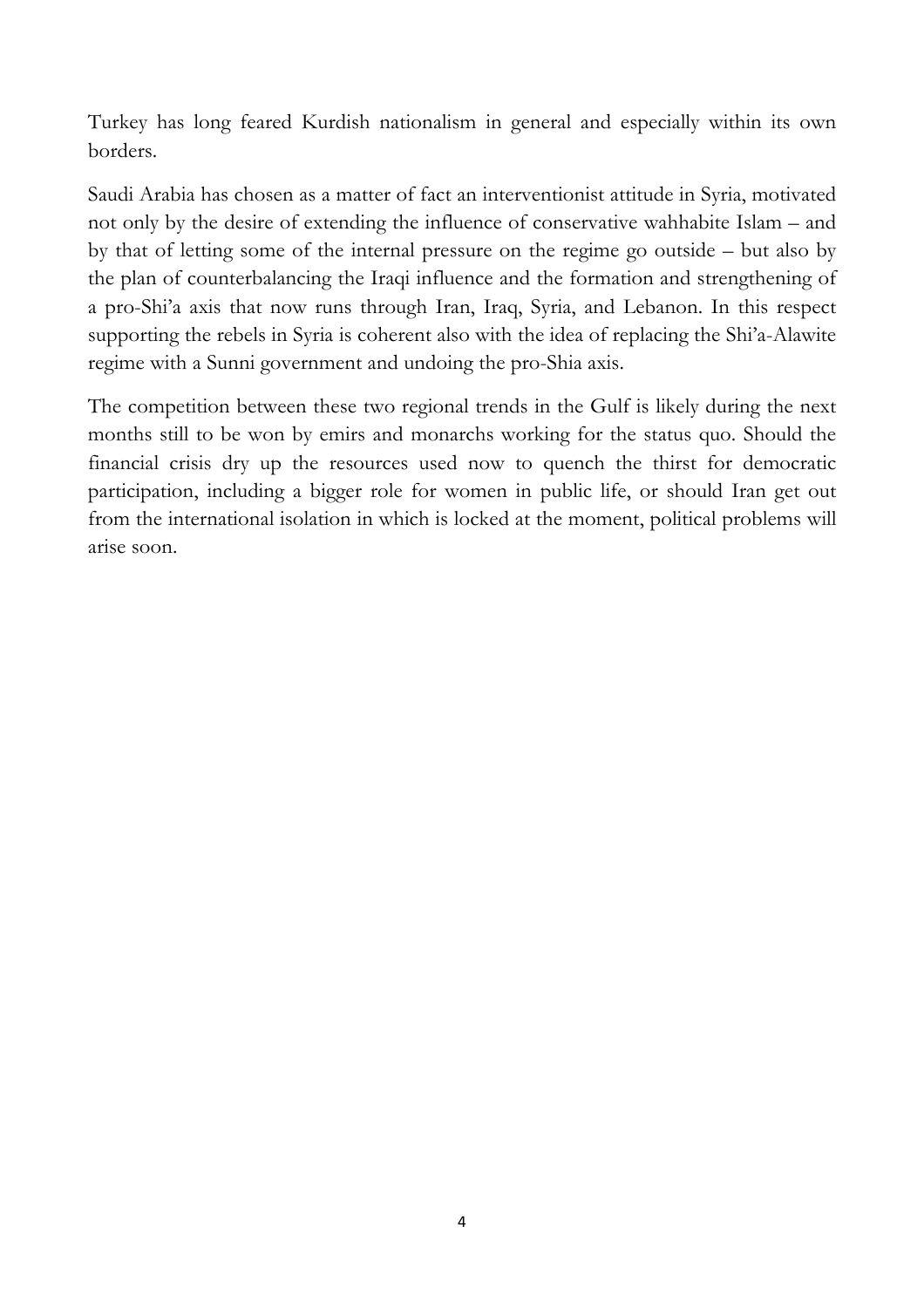Turkey has long feared Kurdish nationalism in general and especially within its own borders.

Saudi Arabia has chosen as a matter of fact an interventionist attitude in Syria, motivated not only by the desire of extending the influence of conservative wahhabite Islam – and by that of letting some of the internal pressure on the regime go outside – but also by the plan of counterbalancing the Iraqi influence and the formation and strengthening of a pro-Shi'a axis that now runs through Iran, Iraq, Syria, and Lebanon. In this respect supporting the rebels in Syria is coherent also with the idea of replacing the Shi'a-Alawite regime with a Sunni government and undoing the pro-Shia axis.

The competition between these two regional trends in the Gulf is likely during the next months still to be won by emirs and monarchs working for the status quo. Should the financial crisis dry up the resources used now to quench the thirst for democratic participation, including a bigger role for women in public life, or should Iran get out from the international isolation in which is locked at the moment, political problems will arise soon.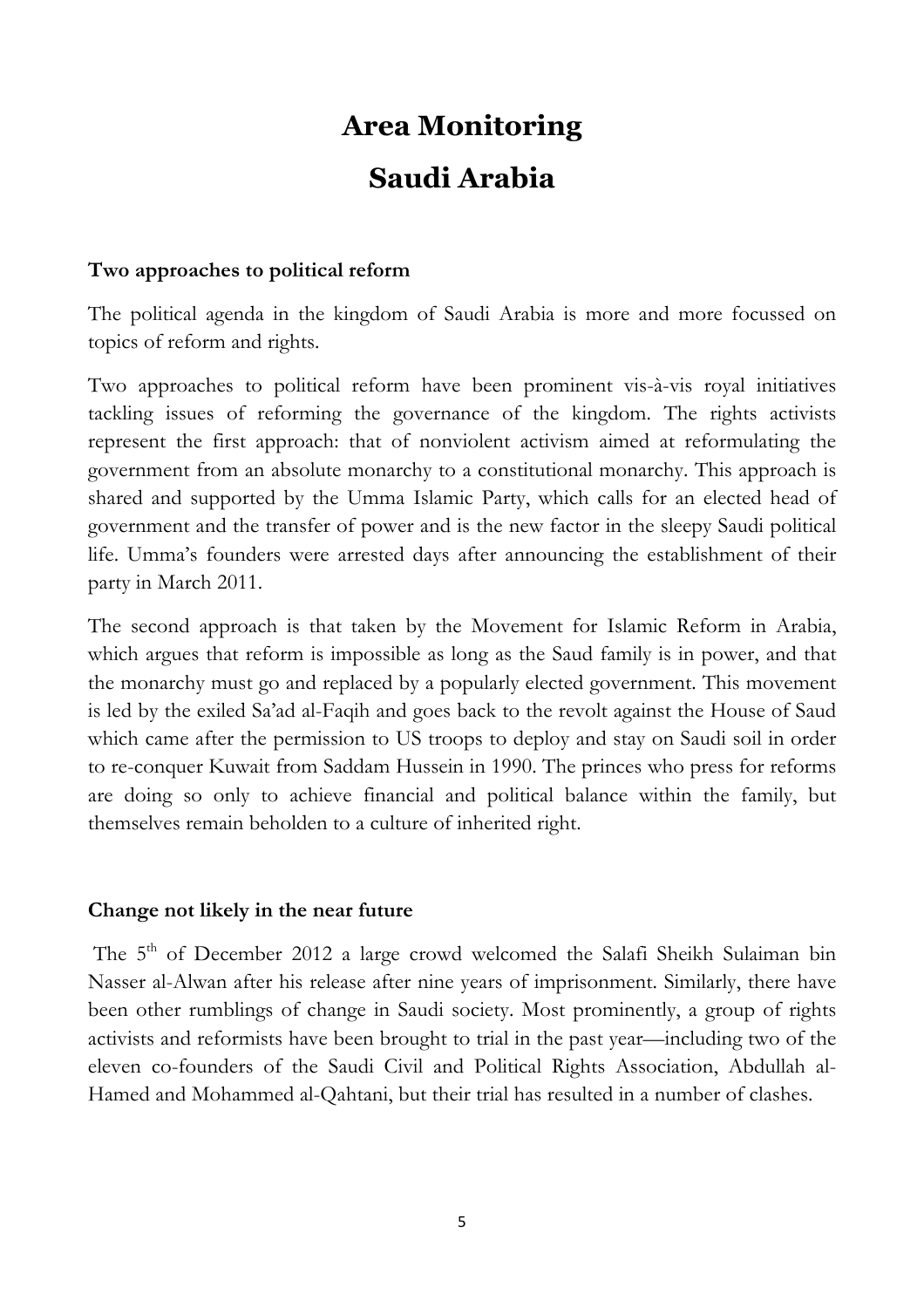# **Area Monitoring Saudi Arabia**

#### **Two approaches to political reform**

The political agenda in the kingdom of Saudi Arabia is more and more focussed on topics of reform and rights.

Two approaches to political reform have been prominent vis-à-vis royal initiatives tackling issues of reforming the governance of the kingdom. The rights activists represent the first approach: that of nonviolent activism aimed at reformulating the government from an absolute monarchy to a constitutional monarchy. This approach is shared and supported by the Umma Islamic Party, which calls for an elected head of government and the transfer of power and is the new factor in the sleepy Saudi political life. Umma's founders were arrested days after announcing the establishment of their party in March 2011.

The second approach is that taken by the Movement for Islamic Reform in Arabia, which argues that reform is impossible as long as the Saud family is in power, and that the monarchy must go and replaced by a popularly elected government. This movement is led by the exiled Sa'ad al-Faqih and goes back to the revolt against the House of Saud which came after the permission to US troops to deploy and stay on Saudi soil in order to re-conquer Kuwait from Saddam Hussein in 1990. The princes who press for reforms are doing so only to achieve financial and political balance within the family, but themselves remain beholden to a culture of inherited right.

#### **Change not likely in the near future**

The 5<sup>th</sup> of December 2012 a large crowd welcomed the Salafi Sheikh Sulaiman bin Nasser al-Alwan after his release after nine years of imprisonment. Similarly, there have been other rumblings of change in Saudi society. Most prominently, a group of rights activists and reformists have been brought to trial in the past year—including two of the eleven co-founders of the Saudi Civil and Political Rights Association, Abdullah al-Hamed and Mohammed al-Qahtani, but their trial has resulted in a number of clashes.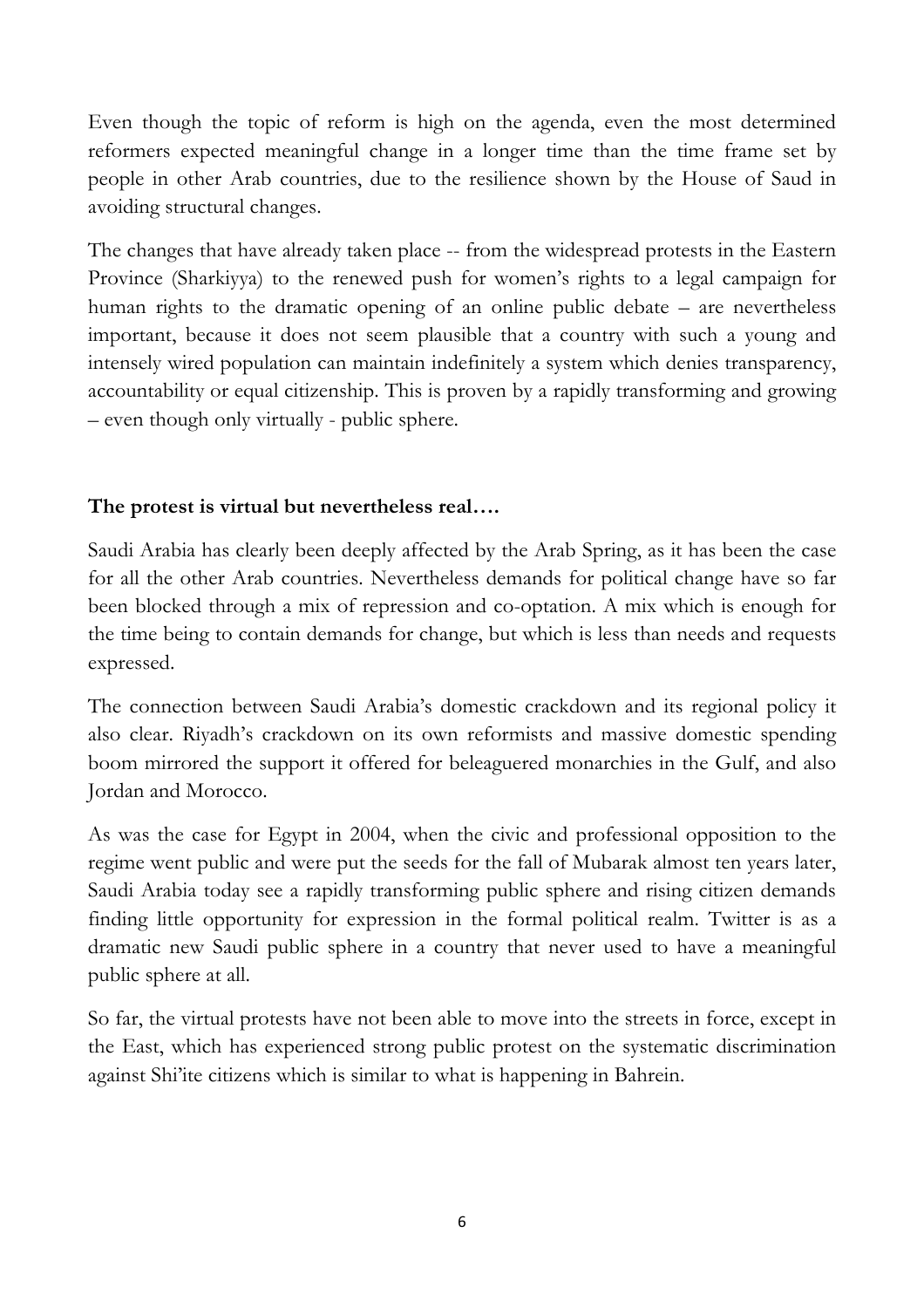Even though the topic of reform is high on the agenda, even the most determined reformers expected meaningful change in a longer time than the time frame set by people in other Arab countries, due to the resilience shown by the House of Saud in avoiding structural changes.

The changes that have already taken place -- from the widespread protests in the Eastern Province (Sharkiyya) to the renewed push for women's rights to a legal campaign for human rights to the dramatic opening of an online public debate – are nevertheless important, because it does not seem plausible that a country with such a young and intensely wired population can maintain indefinitely a system which denies transparency, accountability or equal citizenship. This is proven by a rapidly transforming and growing – even though only virtually - public sphere.

## **The protest is virtual but nevertheless real….**

Saudi Arabia has clearly been deeply affected by the Arab Spring, as it has been the case for all the other Arab countries. Nevertheless demands for political change have so far been blocked through a mix of repression and co-optation. A mix which is enough for the time being to contain demands for change, but which is less than needs and requests expressed.

The connection between Saudi Arabia's domestic crackdown and its regional policy it also clear. Riyadh's crackdown on its own reformists and massive domestic spending boom mirrored the support it offered for beleaguered monarchies in the Gulf, and also Jordan and Morocco.

As was the case for Egypt in 2004, when the civic and professional opposition to the regime went public and were put the seeds for the fall of Mubarak almost ten years later, Saudi Arabia today see a rapidly transforming public sphere and rising citizen demands finding little opportunity for expression in the formal political realm. Twitter is as a dramatic new Saudi public sphere in a country that never used to have a meaningful public sphere at all.

So far, the virtual protests have not been able to move into the streets in force, except in the East, which has experienced strong public protest on the systematic discrimination against Shi'ite citizens which is similar to what is happening in Bahrein.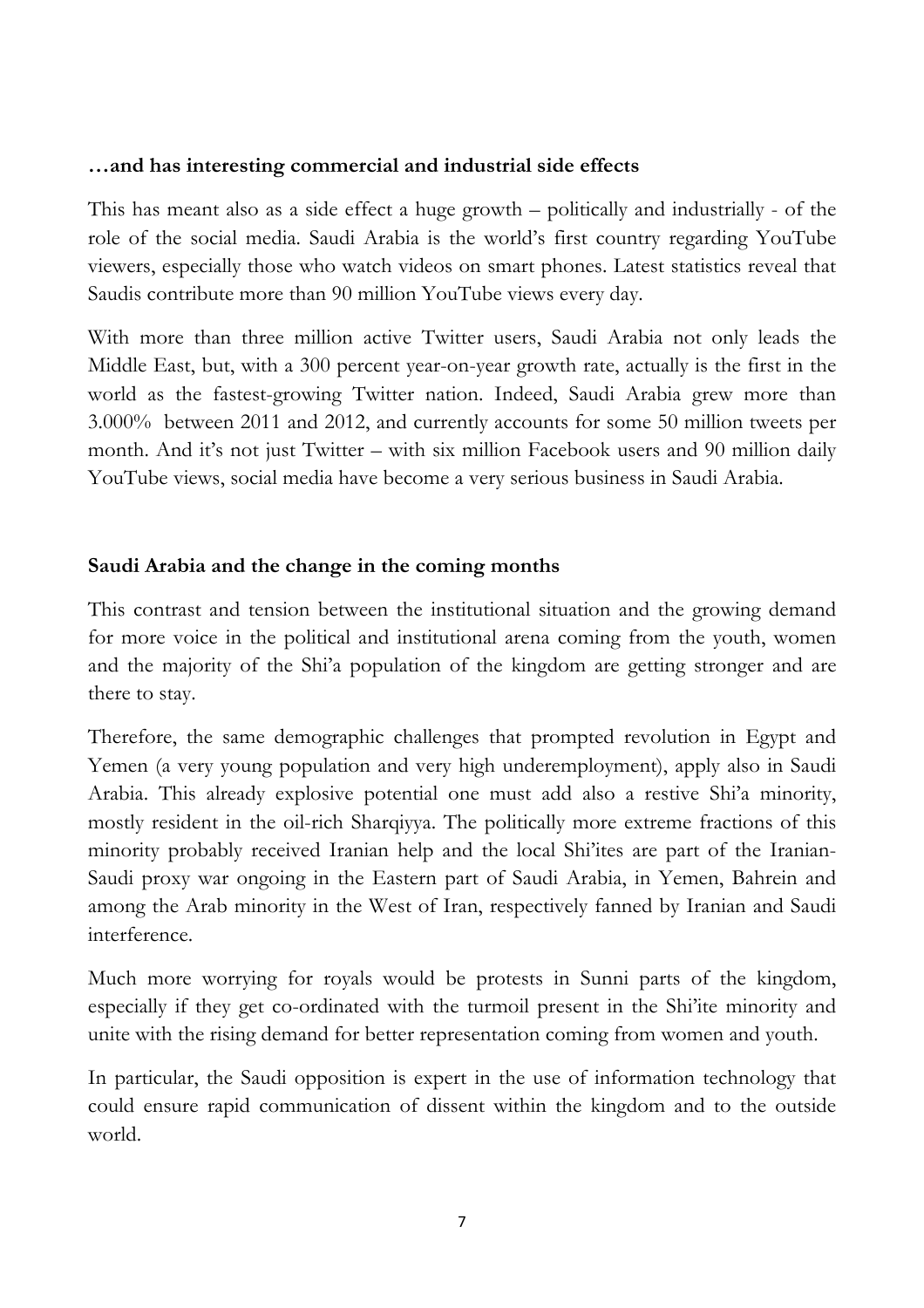#### **…and has interesting commercial and industrial side effects**

This has meant also as a side effect a huge growth – politically and industrially - of the role of the social media. Saudi Arabia is the world's first country regarding YouTube viewers, especially those who watch videos on smart phones. Latest statistics reveal that Saudis contribute more than 90 million YouTube views every day.

With more than three million active Twitter users, Saudi Arabia not only leads the Middle East, but, with a 300 percent year-on-year growth rate, actually is the first in the world as the fastest-growing Twitter nation. Indeed, Saudi Arabia grew more than 3.000% between 2011 and 2012, and currently accounts for some 50 million tweets per month. And it's not just Twitter – with six million Facebook users and 90 million daily YouTube views, social media have become a very serious business in Saudi Arabia.

## **Saudi Arabia and the change in the coming months**

This contrast and tension between the institutional situation and the growing demand for more voice in the political and institutional arena coming from the youth, women and the majority of the Shi'a population of the kingdom are getting stronger and are there to stay.

Therefore, the same demographic challenges that prompted revolution in Egypt and Yemen (a very young population and very high underemployment), apply also in Saudi Arabia. This already explosive potential one must add also a restive Shi'a minority, mostly resident in the oil-rich Sharqiyya. The politically more extreme fractions of this minority probably received Iranian help and the local Shi'ites are part of the Iranian-Saudi proxy war ongoing in the Eastern part of Saudi Arabia, in Yemen, Bahrein and among the Arab minority in the West of Iran, respectively fanned by Iranian and Saudi interference.

Much more worrying for royals would be protests in Sunni parts of the kingdom, especially if they get co-ordinated with the turmoil present in the Shi'ite minority and unite with the rising demand for better representation coming from women and youth.

In particular, the Saudi opposition is expert in the use of information technology that could ensure rapid communication of dissent within the kingdom and to the outside world.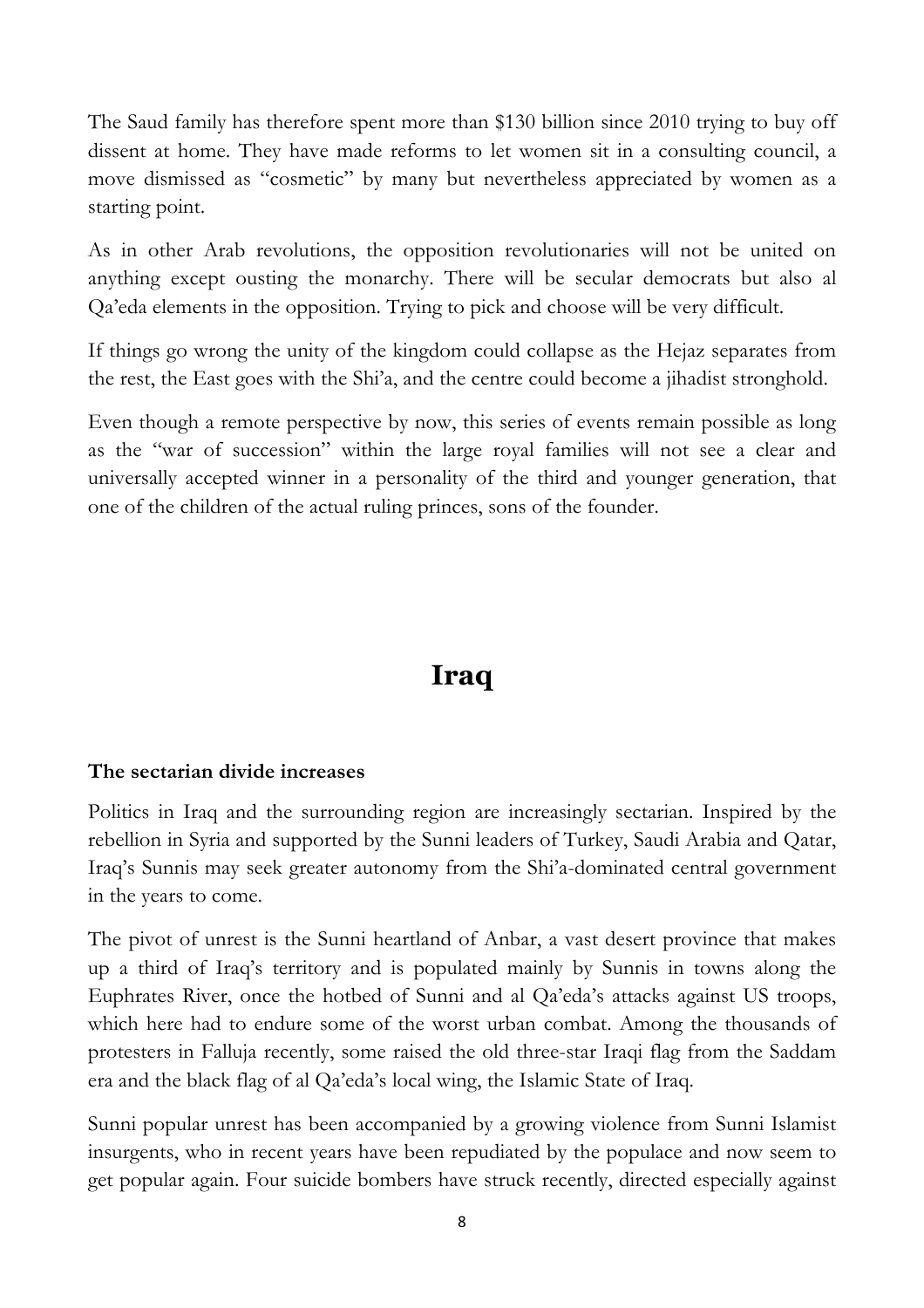The Saud family has therefore spent more than \$130 billion since 2010 trying to buy off dissent at home. They have made reforms to let women sit in a consulting council, a move dismissed as "cosmetic" by many but nevertheless appreciated by women as a starting point.

As in other Arab revolutions, the opposition revolutionaries will not be united on anything except ousting the monarchy. There will be secular democrats but also al Qa'eda elements in the opposition. Trying to pick and choose will be very difficult.

If things go wrong the unity of the kingdom could collapse as the Hejaz separates from the rest, the East goes with the Shi'a, and the centre could become a jihadist stronghold.

Even though a remote perspective by now, this series of events remain possible as long as the "war of succession" within the large royal families will not see a clear and universally accepted winner in a personality of the third and younger generation, that one of the children of the actual ruling princes, sons of the founder.

# **Iraq**

# **The sectarian divide increases**

Politics in Iraq and the surrounding region are increasingly sectarian. Inspired by the rebellion in Syria and supported by the Sunni leaders of Turkey, Saudi Arabia and Qatar, Iraq's Sunnis may seek greater autonomy from the Shi'a-dominated central government in the years to come.

The pivot of unrest is the Sunni heartland of Anbar, a vast desert province that makes up a third of Iraq's territory and is populated mainly by Sunnis in towns along the Euphrates River, once the hotbed of Sunni and al Qa'eda's attacks against US troops, which here had to endure some of the worst urban combat. Among the thousands of protesters in Falluja recently, some raised the old three-star Iraqi flag from the Saddam era and the black flag of al Qa'eda's local wing, the Islamic State of Iraq.

Sunni popular unrest has been accompanied by a growing violence from Sunni Islamist insurgents, who in recent years have been repudiated by the populace and now seem to get popular again. Four suicide bombers have struck recently, directed especially against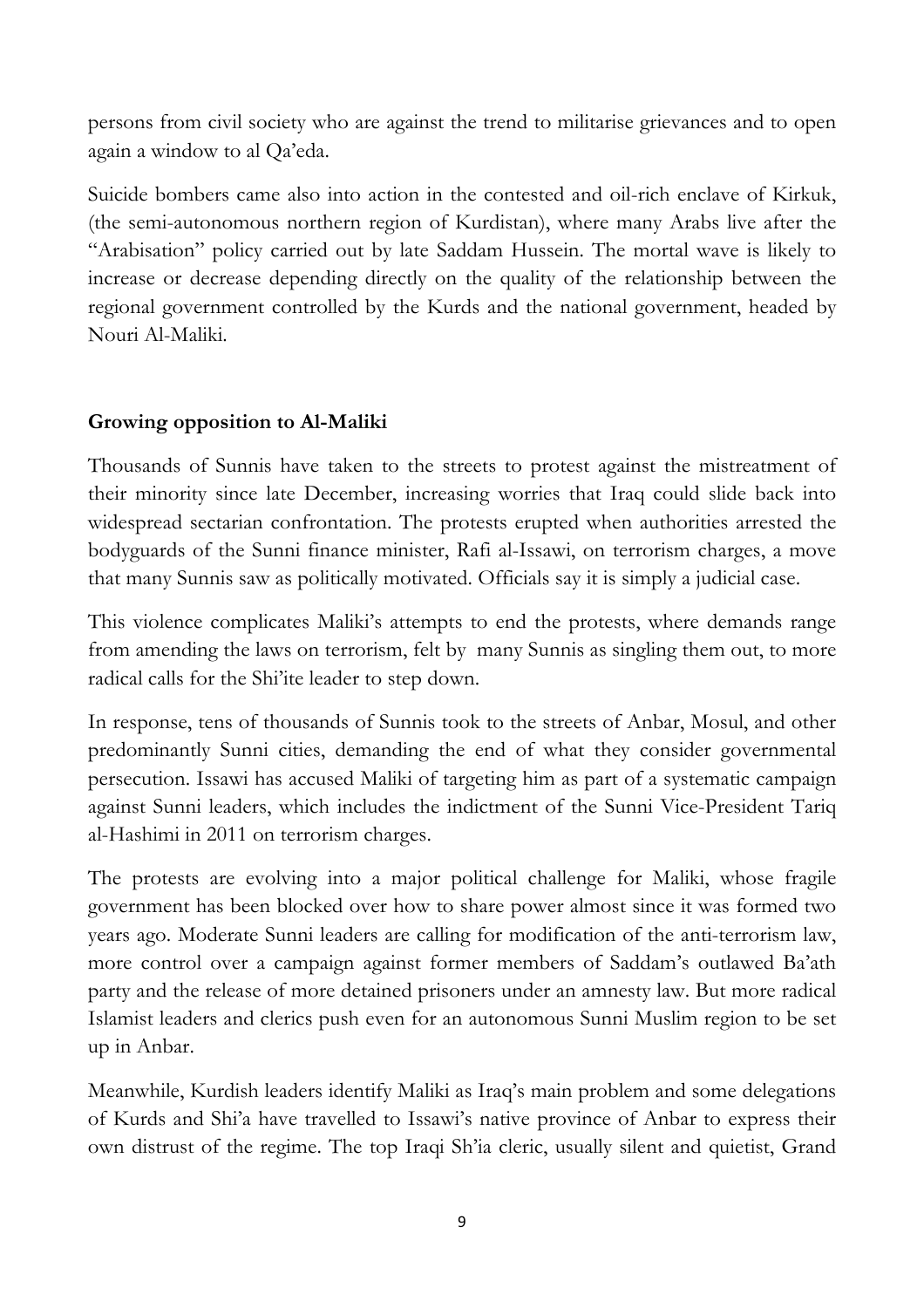persons from civil society who are against the trend to militarise grievances and to open again a window to al Qa'eda.

Suicide bombers came also into action in the contested and oil-rich enclave of Kirkuk, (the semi-autonomous northern region of Kurdistan), where many Arabs live after the "Arabisation" policy carried out by late Saddam Hussein. The mortal wave is likely to increase or decrease depending directly on the quality of the relationship between the regional government controlled by the Kurds and the national government, headed by Nouri Al-Maliki.

## **Growing opposition to Al-Maliki**

Thousands of Sunnis have taken to the streets to protest against the mistreatment of their minority since late December, increasing worries that Iraq could slide back into widespread sectarian confrontation. The protests erupted when authorities arrested the bodyguards of the Sunni finance minister, Rafi al-Issawi, on terrorism charges, a move that many Sunnis saw as politically motivated. Officials say it is simply a judicial case.

This violence complicates Maliki's attempts to end the protests, where demands range from amending the laws on terrorism, felt by many Sunnis as singling them out, to more radical calls for the Shi'ite leader to step down.

In response, tens of thousands of Sunnis took to the streets of Anbar, Mosul, and other predominantly Sunni cities, demanding the end of what they consider governmental persecution. Issawi has accused Maliki of targeting him as part of a systematic campaign against Sunni leaders, which includes the indictment of the Sunni Vice-President Tariq al-Hashimi in 2011 on terrorism charges.

The protests are evolving into a major political challenge for Maliki, whose fragile government has been blocked over how to share power almost since it was formed two years ago. Moderate Sunni leaders are calling for modification of the anti-terrorism law, more control over a campaign against former members of Saddam's outlawed Ba'ath party and the release of more detained prisoners under an amnesty law. But more radical Islamist leaders and clerics push even for an autonomous Sunni Muslim region to be set up in Anbar.

Meanwhile, Kurdish leaders identify Maliki as Iraq's main problem and some delegations of Kurds and Shi'a have travelled to Issawi's native province of Anbar to express their own distrust of the regime. The top Iraqi Sh'ia cleric, usually silent and quietist, Grand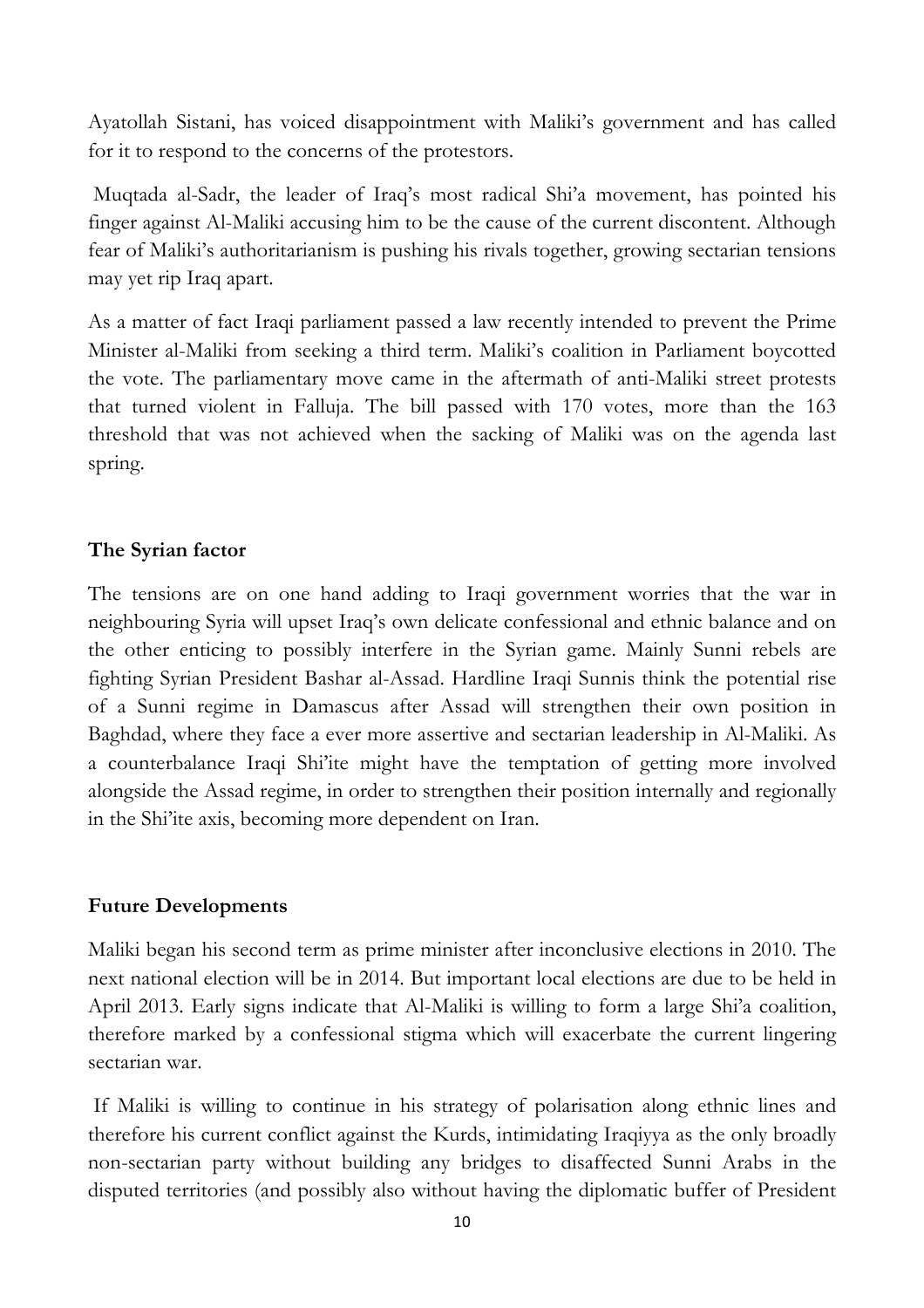Ayatollah Sistani, has voiced disappointment with Maliki's government and has called for it to respond to the concerns of the protestors.

Muqtada al-Sadr, the leader of Iraq's most radical Shi'a movement, has pointed his finger against Al-Maliki accusing him to be the cause of the current discontent. Although fear of Maliki's authoritarianism is pushing his rivals together, growing sectarian tensions may yet rip Iraq apart.

As a matter of fact Iraqi parliament passed a law recently intended to prevent the Prime Minister al-Maliki from seeking a third term. Maliki's coalition in Parliament boycotted the vote. The parliamentary move came in the aftermath of anti-Maliki street protests that turned violent in Falluja. The bill passed with 170 votes, more than the 163 threshold that was not achieved when the sacking of Maliki was on the agenda last spring.

## **The Syrian factor**

The tensions are on one hand adding to Iraqi government worries that the war in neighbouring Syria will upset Iraq's own delicate confessional and ethnic balance and on the other enticing to possibly interfere in the Syrian game. Mainly Sunni rebels are fighting Syrian President Bashar al-Assad. Hardline Iraqi Sunnis think the potential rise of a Sunni regime in Damascus after Assad will strengthen their own position in Baghdad, where they face a ever more assertive and sectarian leadership in Al-Maliki. As a counterbalance Iraqi Shi'ite might have the temptation of getting more involved alongside the Assad regime, in order to strengthen their position internally and regionally in the Shi'ite axis, becoming more dependent on Iran.

#### **Future Developments**

Maliki began his second term as prime minister after inconclusive elections in 2010. The next national election will be in 2014. But important local elections are due to be held in April 2013. Early signs indicate that Al-Maliki is willing to form a large Shi'a coalition, therefore marked by a confessional stigma which will exacerbate the current lingering sectarian war.

If Maliki is willing to continue in his strategy of polarisation along ethnic lines and therefore his current conflict against the Kurds, intimidating Iraqiyya as the only broadly non-sectarian party without building any bridges to disaffected Sunni Arabs in the disputed territories (and possibly also without having the diplomatic buffer of President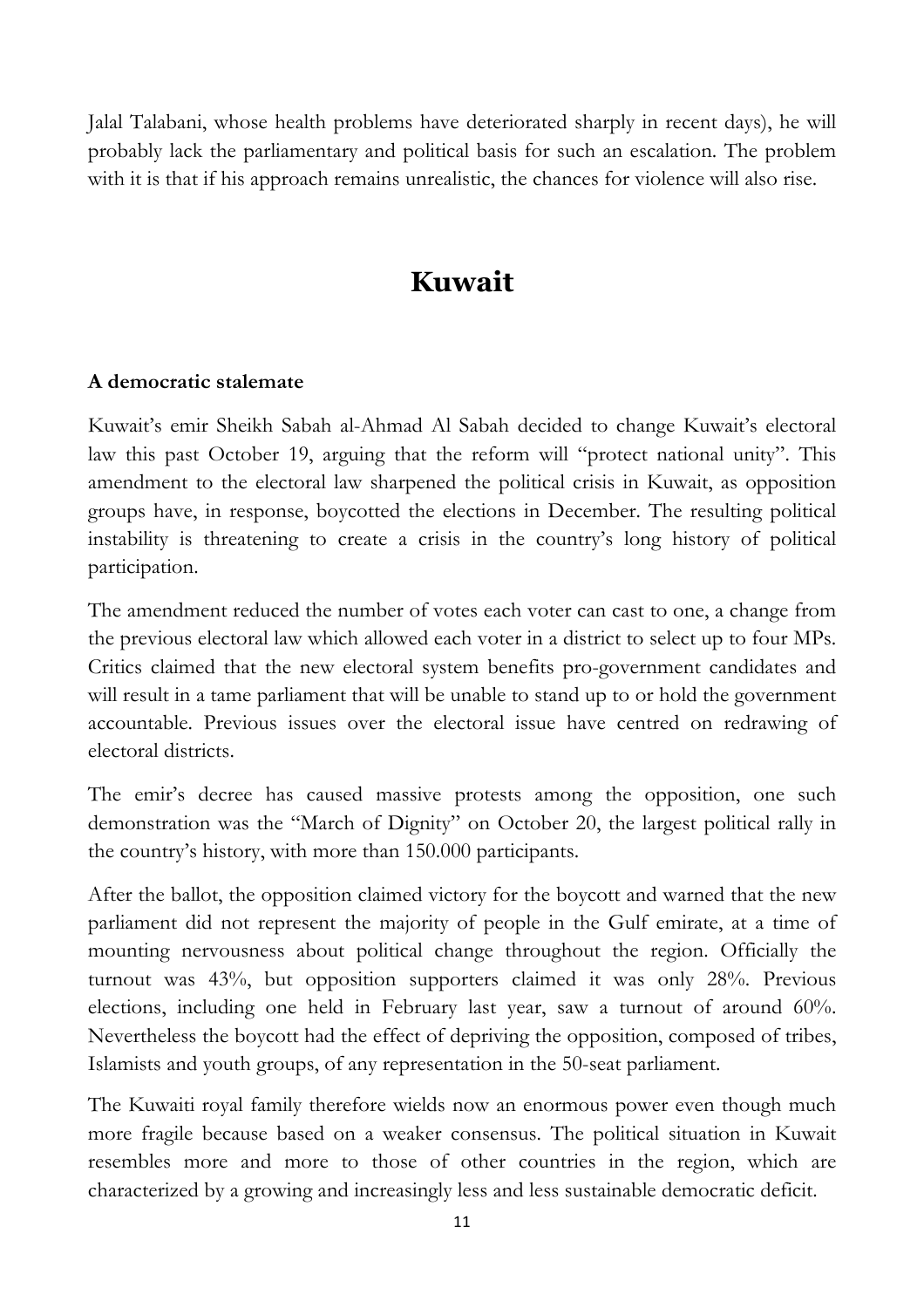Jalal Talabani, whose health problems have deteriorated sharply in recent days), he will probably lack the parliamentary and political basis for such an escalation. The problem with it is that if his approach remains unrealistic, the chances for violence will also rise.

# **Kuwait**

## **A democratic stalemate**

Kuwait's emir Sheikh Sabah al-Ahmad Al Sabah decided to change Kuwait's electoral law this past October 19, arguing that the reform will "protect national unity". This amendment to the electoral law sharpened the political crisis in Kuwait, as opposition groups have, in response, boycotted the elections in December. The resulting political instability is threatening to create a crisis in the country's long history of political participation.

The amendment reduced the number of votes each voter can cast to one, a change from the previous electoral law which allowed each voter in a district to select up to four MPs. Critics claimed that the new electoral system benefits pro-government candidates and will result in a tame parliament that will be unable to stand up to or hold the government accountable. Previous issues over the electoral issue have centred on redrawing of electoral districts.

The emir's decree has caused massive protests among the opposition, one such demonstration was the "March of Dignity" on October 20, the largest political rally in the country's history, with more than 150.000 participants.

After the ballot, the opposition claimed victory for the boycott and warned that the new parliament did not represent the majority of people in the Gulf emirate, at a time of mounting nervousness about political change throughout the region. Officially the turnout was 43%, but opposition supporters claimed it was only 28%. Previous elections, including one held in February last year, saw a turnout of around 60%. Nevertheless the boycott had the effect of depriving the opposition, composed of tribes, Islamists and youth groups, of any representation in the 50-seat parliament.

The Kuwaiti royal family therefore wields now an enormous power even though much more fragile because based on a weaker consensus. The political situation in Kuwait resembles more and more to those of other countries in the region, which are characterized by a growing and increasingly less and less sustainable democratic deficit.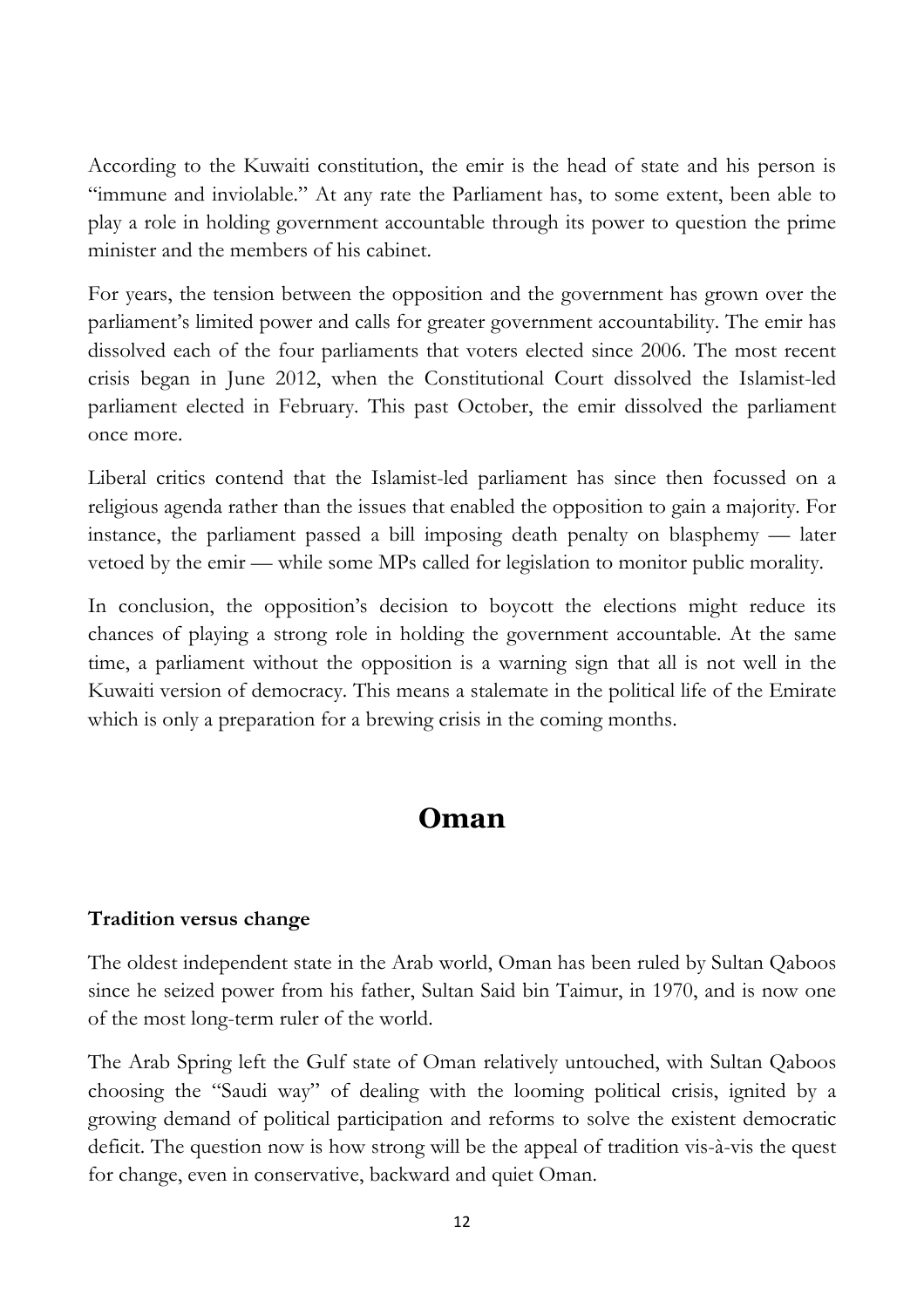According to the Kuwaiti constitution, the emir is the head of state and his person is "immune and inviolable." At any rate the Parliament has, to some extent, been able to play a role in holding government accountable through its power to question the prime minister and the members of his cabinet.

For years, the tension between the opposition and the government has grown over the parliament's limited power and calls for greater government accountability. The emir has dissolved each of the four parliaments that voters elected since 2006. The most recent crisis began in June 2012, when the Constitutional Court dissolved the Islamist-led parliament elected in February. This past October, the emir dissolved the parliament once more.

Liberal critics contend that the Islamist-led parliament has since then focussed on a religious agenda rather than the issues that enabled the opposition to gain a majority. For instance, the parliament passed a bill imposing death penalty on blasphemy — later vetoed by the emir — while some MPs called for legislation to monitor public morality.

In conclusion, the opposition's decision to boycott the elections might reduce its chances of playing a strong role in holding the government accountable. At the same time, a parliament without the opposition is a warning sign that all is not well in the Kuwaiti version of democracy. This means a stalemate in the political life of the Emirate which is only a preparation for a brewing crisis in the coming months.

# **Oman**

## **Tradition versus change**

The oldest independent state in the Arab world, Oman has been ruled by Sultan Qaboos since he seized power from his father, Sultan Said bin Taimur, in 1970, and is now one of the most long-term ruler of the world.

The Arab Spring left the Gulf state of Oman relatively untouched, with Sultan Qaboos choosing the "Saudi way" of dealing with the looming political crisis, ignited by a growing demand of political participation and reforms to solve the existent democratic deficit. The question now is how strong will be the appeal of tradition vis-à-vis the quest for change, even in conservative, backward and quiet Oman.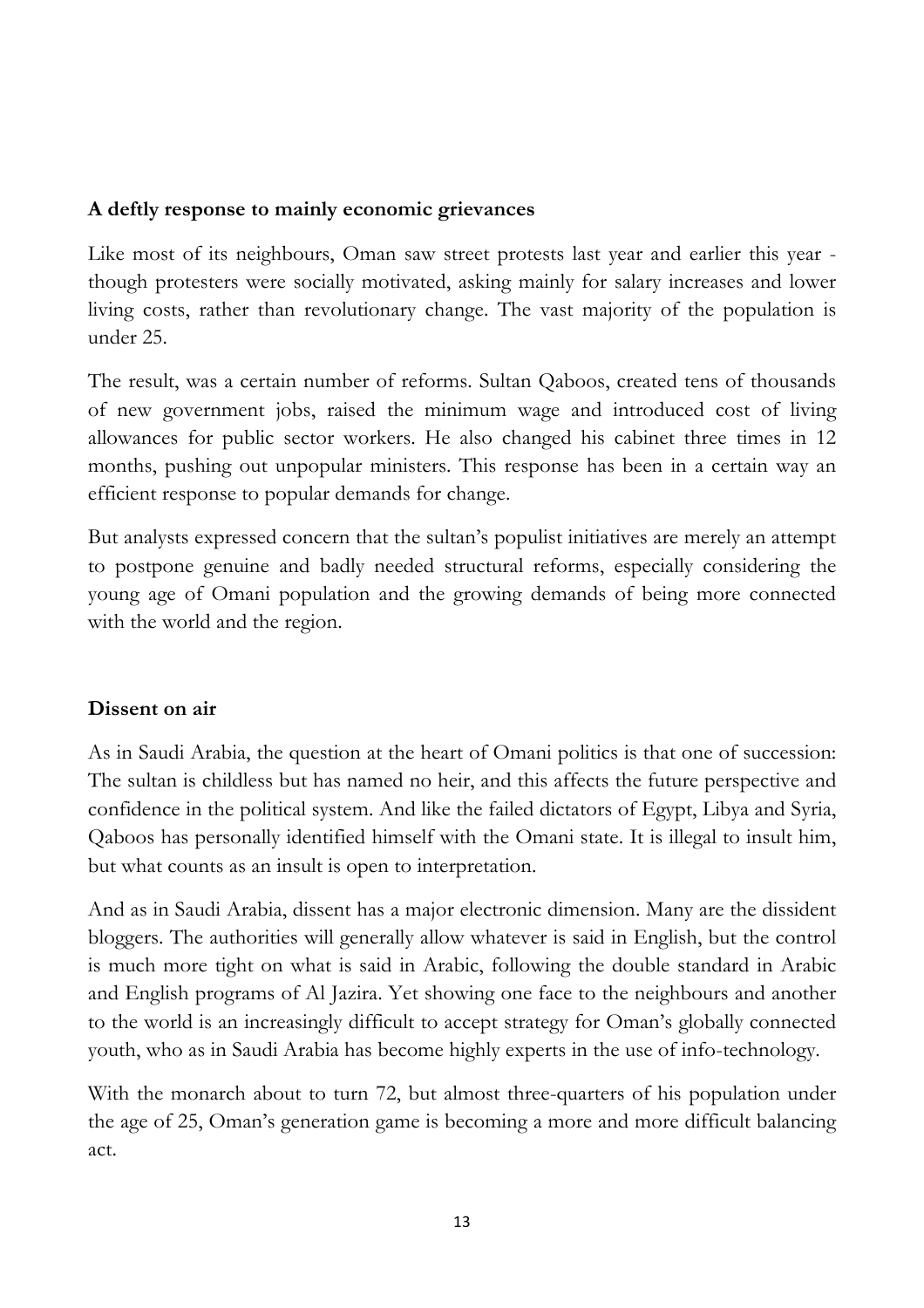#### **A deftly response to mainly economic grievances**

Like most of its neighbours, Oman saw street protests last year and earlier this year though protesters were socially motivated, asking mainly for salary increases and lower living costs, rather than revolutionary change. The vast majority of the population is under 25.

The result, was a certain number of reforms. Sultan Qaboos, created tens of thousands of new government jobs, raised the minimum wage and introduced cost of living allowances for public sector workers. He also changed his cabinet three times in 12 months, pushing out unpopular ministers. This response has been in a certain way an efficient response to popular demands for change.

But analysts expressed concern that the sultan's populist initiatives are merely an attempt to postpone genuine and badly needed structural reforms, especially considering the young age of Omani population and the growing demands of being more connected with the world and the region.

## **Dissent on air**

As in Saudi Arabia, the question at the heart of Omani politics is that one of succession: The sultan is childless but has named no heir, and this affects the future perspective and confidence in the political system. And like the failed dictators of Egypt, Libya and Syria, Qaboos has personally identified himself with the Omani state. It is illegal to insult him, but what counts as an insult is open to interpretation.

And as in Saudi Arabia, dissent has a major electronic dimension. Many are the dissident bloggers. The authorities will generally allow whatever is said in English, but the control is much more tight on what is said in Arabic, following the double standard in Arabic and English programs of Al Jazira. Yet showing one face to the neighbours and another to the world is an increasingly difficult to accept strategy for Oman's globally connected youth, who as in Saudi Arabia has become highly experts in the use of info-technology.

With the monarch about to turn 72, but almost three-quarters of his population under the age of 25, Oman's generation game is becoming a more and more difficult balancing act.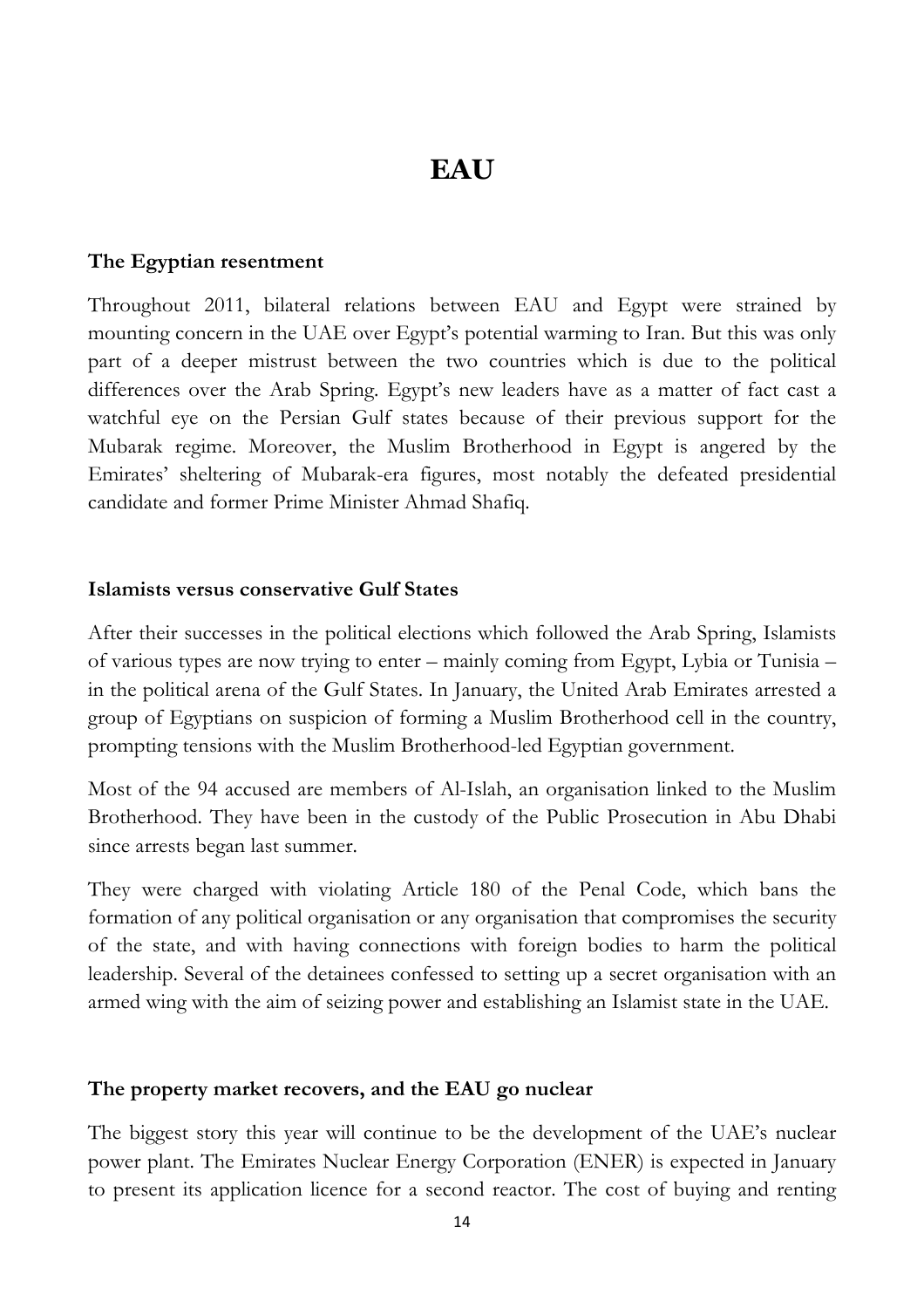# **EAU**

#### **The Egyptian resentment**

Throughout 2011, bilateral relations between EAU and Egypt were strained by mounting concern in the UAE over Egypt's potential warming to Iran. But this was only part of a deeper mistrust between the two countries which is due to the political differences over the Arab Spring. Egypt's new leaders have as a matter of fact cast a watchful eye on the Persian Gulf states because of their previous support for the Mubarak regime. Moreover, the Muslim Brotherhood in Egypt is angered by the Emirates' sheltering of Mubarak-era figures, most notably the defeated presidential candidate and former Prime Minister Ahmad Shafiq.

#### **Islamists versus conservative Gulf States**

After their successes in the political elections which followed the Arab Spring, Islamists of various types are now trying to enter – mainly coming from Egypt, Lybia or Tunisia – in the political arena of the Gulf States. In January, the United Arab Emirates arrested a group of Egyptians on suspicion of forming a Muslim Brotherhood cell in the country, prompting tensions with the Muslim Brotherhood-led Egyptian government.

Most of the 94 accused are members of Al-Islah, an organisation linked to the Muslim Brotherhood. They have been in the custody of the Public Prosecution in Abu Dhabi since arrests began last summer.

They were charged with violating Article 180 of the Penal Code, which bans the formation of any political organisation or any organisation that compromises the security of the state, and with having connections with foreign bodies to harm the political leadership. Several of the detainees confessed to setting up a secret organisation with an armed wing with the aim of seizing power and establishing an Islamist state in the UAE.

#### **The property market recovers, and the EAU go nuclear**

The biggest story this year will continue to be the development of the UAE's nuclear power plant. The Emirates Nuclear Energy Corporation (ENER) is expected in January to present its application licence for a second reactor. The cost of buying and renting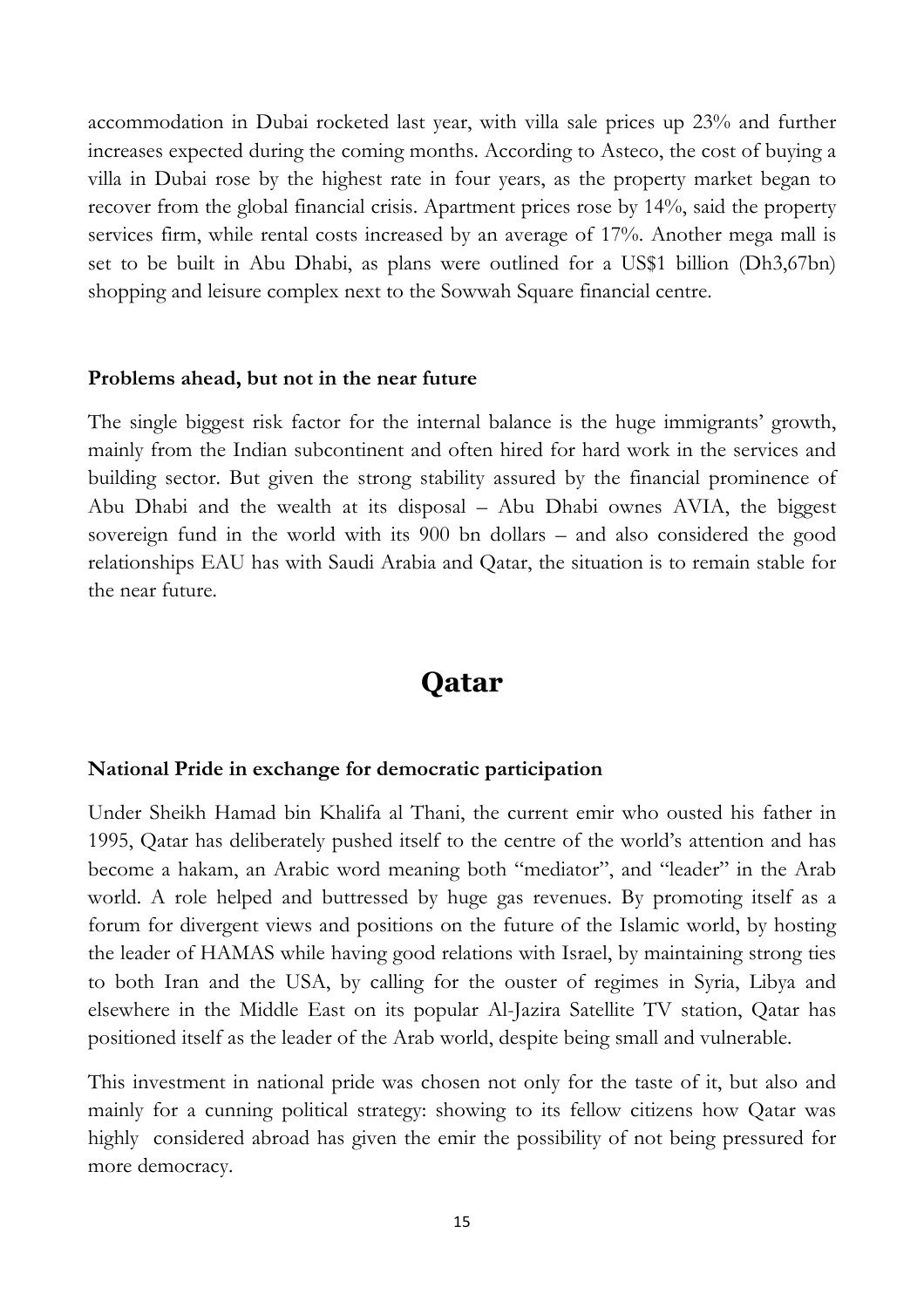accommodation in Dubai rocketed last year, with villa sale prices up 23% and further increases expected during the coming months. According to Asteco, the cost of buying a villa in Dubai rose by the highest rate in four years, as the property market began to recover from the global financial crisis. Apartment prices rose by 14%, said the property services firm, while rental costs increased by an average of 17%. Another mega mall is set to be built in Abu Dhabi, as plans were outlined for a US\$1 billion (Dh3,67bn) shopping and leisure complex next to the Sowwah Square financial centre.

#### **Problems ahead, but not in the near future**

The single biggest risk factor for the internal balance is the huge immigrants' growth, mainly from the Indian subcontinent and often hired for hard work in the services and building sector. But given the strong stability assured by the financial prominence of Abu Dhabi and the wealth at its disposal – Abu Dhabi ownes AVIA, the biggest sovereign fund in the world with its 900 bn dollars – and also considered the good relationships EAU has with Saudi Arabia and Qatar, the situation is to remain stable for the near future.

# **Qatar**

#### **National Pride in exchange for democratic participation**

Under Sheikh Hamad bin Khalifa al Thani, the current emir who ousted his father in 1995, Qatar has deliberately pushed itself to the centre of the world's attention and has become a hakam, an Arabic word meaning both "mediator", and "leader" in the Arab world. A role helped and buttressed by huge gas revenues. By promoting itself as a forum for divergent views and positions on the future of the Islamic world, by hosting the leader of HAMAS while having good relations with Israel, by maintaining strong ties to both Iran and the USA, by calling for the ouster of regimes in Syria, Libya and elsewhere in the Middle East on its popular Al-Jazira Satellite TV station, Qatar has positioned itself as the leader of the Arab world, despite being small and vulnerable.

This investment in national pride was chosen not only for the taste of it, but also and mainly for a cunning political strategy: showing to its fellow citizens how Qatar was highly considered abroad has given the emir the possibility of not being pressured for more democracy.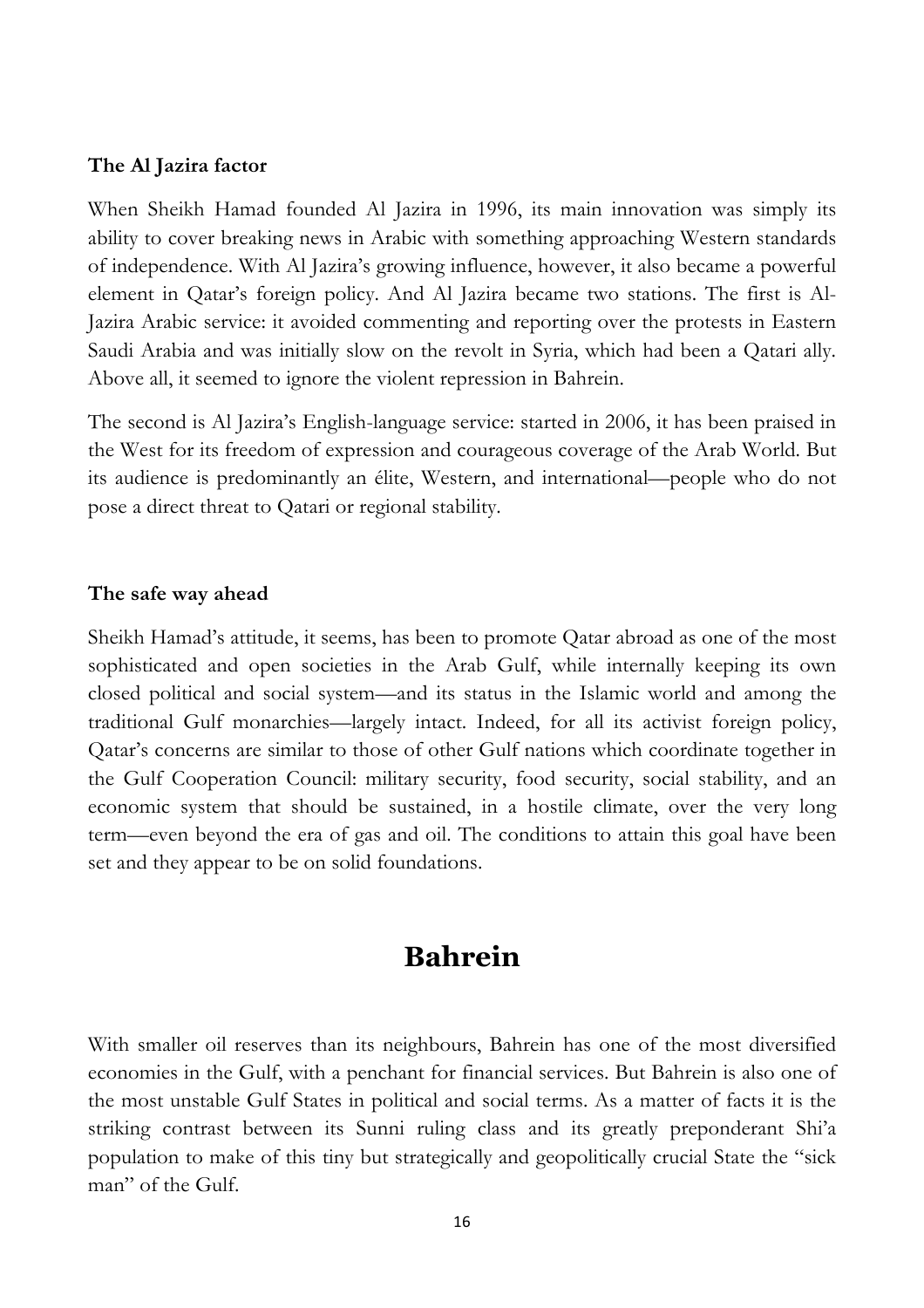#### **The Al Jazira factor**

When Sheikh Hamad founded Al Jazira in 1996, its main innovation was simply its ability to cover breaking news in Arabic with something approaching Western standards of independence. With Al Jazira's growing influence, however, it also became a powerful element in Qatar's foreign policy. And Al Jazira became two stations. The first is Al-Jazira Arabic service: it avoided commenting and reporting over the protests in Eastern Saudi Arabia and was initially slow on the revolt in Syria, which had been a Qatari ally. Above all, it seemed to ignore the violent repression in Bahrein.

The second is Al Jazira's English-language service: started in 2006, it has been praised in the West for its freedom of expression and courageous coverage of the Arab World. But its audience is predominantly an élite, Western, and international—people who do not pose a direct threat to Qatari or regional stability.

#### **The safe way ahead**

Sheikh Hamad's attitude, it seems, has been to promote Qatar abroad as one of the most sophisticated and open societies in the Arab Gulf, while internally keeping its own closed political and social system—and its status in the Islamic world and among the traditional Gulf monarchies—largely intact. Indeed, for all its activist foreign policy, Qatar's concerns are similar to those of other Gulf nations which coordinate together in the Gulf Cooperation Council: military security, food security, social stability, and an economic system that should be sustained, in a hostile climate, over the very long term—even beyond the era of gas and oil. The conditions to attain this goal have been set and they appear to be on solid foundations.

# **Bahrein**

With smaller oil reserves than its neighbours, Bahrein has one of the most diversified economies in the Gulf, with a penchant for financial services. But Bahrein is also one of the most unstable Gulf States in political and social terms. As a matter of facts it is the striking contrast between its Sunni ruling class and its greatly preponderant Shi'a population to make of this tiny but strategically and geopolitically crucial State the "sick man" of the Gulf.